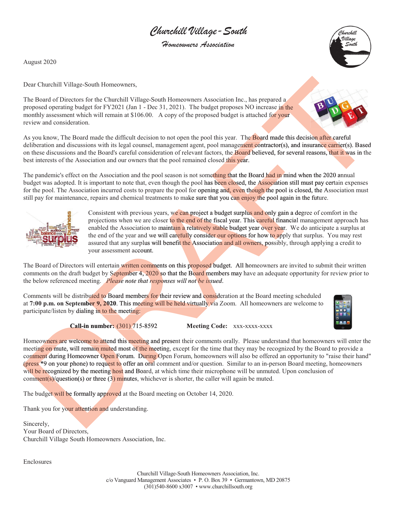Churchill Village-South

Homeowners Association

August 2020

Village

Dear Churchill Village-South Homeowners,

The Board of Directors for the Churchill Village-South Homeowners Association Inc., has prepared a proposed operating budget for FY2021 (Jan 1 - Dec 31, 2021). The budget proposes NO increase in the monthly assessment which will remain at \$106.00. A copy of the proposed budget is attached for your review and consideration.

As you know, The Board made the difficult decision to not open the pool this year. The **Board made this decision after careful** deliberation and discussions with its legal counsel, management agent, pool management contractor(s), and insurance carrier(s). Based on these discussions and the Board's careful consideration of relevant factors, the Board believed, for several reasons, that it was in the best interests of the Association and our owners that the pool remained closed this year.

The pandemic's effect on the Association and the pool season is not something that the Board had in mind when the 2020 annual budget was adopted. It is important to note that, even though the pool has been closed, the Association still must pay certain expenses for the pool. The Association incurred costs to prepare the pool for opening and, even though the pool is closed, the Association must still pay for maintenance, repairs and chemical treatments to make sure that you can enjoy the pool again in the future.



Consistent with previous years, we can project a budget surplus and only gain a degree of comfort in the projections when we are closer to the end of the fiscal year. This careful financial management approach has enabled the Association to maintain a relatively stable budget year over year. We do anticipate a surplus at the end of the year and we will carefully consider our options for how to apply that surplus. You may rest assured that any surplus will benefit the Association and all owners, possibly, through applying a credit to your assessment account.

The Board of Directors will entertain written comments on this proposed budget. All homeowners are invited to submit their written comments on the draft budget by September 4, 2020 so that the Board members may have an adequate opportunity for review prior to the below referenced meeting. *Please note that responses will not be issued*. *iss*

Comments will be distributed to Board members for their review and consideration at the Board meeting scheduled at **7:00 p.m. on Septembe<mark>r 9, 2020</mark>. This meeting will be held virtually v**ia Zoom. All homeowners are welcome to participate/listen by dialing in to the meeting:



**Call-in number:** (301) 715-8592 **Meeting Code:** xxx-xxxx-xxxx

Homeowners are welcome to attend this meeting and present their comments orally. Please understand that homeowners will enter the meeting on mute, will remain muted most of the meeting, except for the time that they may be recognized by the Board to provide a comment during Homeowner Open Forum. During Open Forum, homeowners will also be offered an opportunity to "raise their hand" (press \*9 on your phone) to request to offer an oral comment and/or question. Similar to an in-person Board meeting, homeowners will be recognized by the meeting host and Board, at which time their microphone will be unmuted. Upon conclusion of comment(s)/question(s) or three (3) minutes, whichever is shorter, the caller will again be muted. The Roard of Direction spin there are no better in the theorem in the theorem and the method of Direction and the method of the method of the spin term in the spin term in the spin term in the spin term in the spin term i

The budget will be formally approved at the Board meeting on October 14, 2020.

Thank you for your attention and understanding.

Sincerely, Your Board of Directors, Churchill Village South Homeowners Association, Inc.

Enclosures

Churchill Village-South Homeowners Association, Inc. c/o Vanguard Management Associates • P. O. Box 39 • Germantown, MD 20875 (301)540-8600 x3007 • www.churchillsouth.org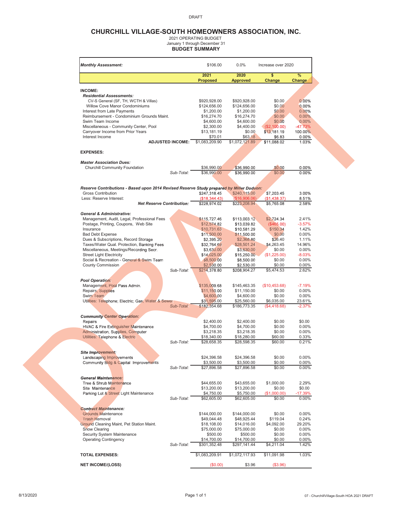#### DRAFT

## **CHURCHILL VILLAGE-SOUTH HOMEOWNERS ASSOCIATION, INC.**

2021 OPERATING BUDGET January 1 through December 31 **BUDGET SUMMARY**

| <b>Monthly Assessment:</b>                                                               |                                  | \$106.00<br>2021              | $0.0\%$<br>2020               | Increase over 2020<br>\$         | $\frac{9}{6}$        |
|------------------------------------------------------------------------------------------|----------------------------------|-------------------------------|-------------------------------|----------------------------------|----------------------|
|                                                                                          |                                  | <b>Proposed</b>               | <b>Approved</b>               | Change                           | Change               |
| <b>INCOME:</b>                                                                           |                                  |                               |                               |                                  |                      |
| <b>Residential Assessments:</b>                                                          |                                  |                               |                               |                                  |                      |
| CV-S General (SF, TH, WCTH & Villas)                                                     |                                  | \$920,928.00                  | \$920,928.00                  | \$0.00                           | 0.00%                |
| Willow Cove Manor Condominiums                                                           |                                  | \$124,656.00                  | \$124,656.00                  | \$0.00                           | 0.00%                |
| Interest from Late Payments                                                              |                                  | \$1,200.00                    | \$1,200.00                    | \$0.00                           | 0.00%                |
| Reimbursement - Condominium Grounds Maint.                                               |                                  | \$16,274.70                   | \$16,274.70                   | \$0.00                           | 0.00%                |
| Swim Team Income                                                                         |                                  | \$4,600.00                    | \$4,600.00                    | \$0.00                           | 0.00%                |
| Miscellaneous - Community Center, Pool<br>Carryover Income from Prior Years              |                                  | \$2,300.00<br>\$13,181.19     | \$4,400.00<br>\$0.00          | (\$2,100.00)<br>\$13,181.19      | $-47.73%$<br>100.00% |
| Interest Income                                                                          |                                  | \$70.01                       | \$63.18                       | \$6.83                           | $0.00\%$             |
|                                                                                          | <b>ADJUSTED INCOME:</b>          | \$1,083,209.90                | \$1,072,121.89                | \$11,088.02                      | 1.03%                |
| <b>EXPENSES:</b>                                                                         |                                  |                               |                               |                                  |                      |
|                                                                                          |                                  |                               |                               |                                  |                      |
| <b>Master Association Dues:</b>                                                          |                                  |                               |                               |                                  |                      |
| Churchill Community Foundation                                                           |                                  | \$36,990.00                   | \$36,990.00                   | \$0.00                           | 0.00%                |
|                                                                                          | Sub-Total:                       | \$36,990.00                   | \$36,990.00                   | \$0.00                           | 0.00%                |
|                                                                                          |                                  |                               |                               |                                  |                      |
| Reserve Contributions - Based upon 2014 Revised Reserve Study prepared by Miller Dodson: |                                  |                               |                               |                                  |                      |
| <b>Gross Contribution</b><br>Less: Reserve Interest:                                     |                                  | \$247,318.45<br>(\$18,344.43) | \$240,115.00<br>(\$16,906.06) | \$7,203.45<br>(\$1,438.37)       | 3.00%<br>8.51%       |
|                                                                                          | <b>Net Reserve Contribution:</b> | \$228,974.02                  | \$223,208.94                  | \$5,765.08                       | 2.58%                |
|                                                                                          |                                  |                               |                               |                                  |                      |
| <b>General &amp; Administrative:</b>                                                     |                                  |                               |                               |                                  |                      |
| Management, Audit, Legal, Professional Fees                                              |                                  | \$115,727.46                  | \$113,003.12                  | \$2,724.34                       | 2.41%                |
| Postage, Printing, Coupons, Web Site                                                     |                                  | \$12,574.82                   | \$13,039.82                   | (\$465.00)                       | $-3.57%$             |
| Insurance                                                                                |                                  | \$10,731.63                   | \$10,581.29                   | \$150.34                         | 1.42%                |
| <b>Bad Debt Expense</b>                                                                  |                                  | \$11,500.00                   | \$11,500.00                   | \$0.00                           | 0.00%                |
| Dues & Subscriptions, Record Storage                                                     |                                  | \$2,395.20                    | \$2,368.80                    | \$26.40                          | 1.11%                |
| Taxes/Water Qual. Protection, Banking Fees                                               |                                  | \$32,764.69                   | \$28,501.24                   | \$4,263.45                       | 14.96%               |
| Miscellaneous, Meetings/Recording Secr.                                                  |                                  | \$3,630.00                    | \$3,630.00                    | \$0.00                           | 0.00%                |
| <b>Street Light Electricity</b>                                                          |                                  | \$14,025.00                   | \$15,250.00                   | (\$1,225.00)                     | $-8.03%$             |
| Social & Recreation - General & Swim Team                                                |                                  | \$8,500.00                    | \$8,500.00                    | \$0.00                           | 0.00%                |
| <b>County Commission</b>                                                                 | Sub-Total:                       | \$2,530.00<br>\$214,378.80    | \$2,530.00<br>\$208,904.27    | \$0.00<br>$\overline{$}5,474.53$ | 0.00%<br>2.62%       |
|                                                                                          |                                  |                               |                               |                                  |                      |
| <b>Pool Operation:</b>                                                                   |                                  |                               |                               |                                  |                      |
| Management, Pool Pass Admin.                                                             |                                  | \$135,009.68                  | \$145,463.35                  | (\$10,453.68)                    | $-7.19%$             |
| Repairs, Supplies                                                                        |                                  | \$11,150.00                   | \$11,150.00                   | \$0.00                           | $0.00\%$             |
| Swim Team                                                                                |                                  | \$4,600.00                    | \$4,600.00                    | \$0.00                           | 0.00%                |
| Utilities: Telephone; Electric; Gas; Water & Sewer                                       |                                  | \$31,595.00                   | \$25,560.00                   | \$6,035.00                       | 23.61%               |
|                                                                                          | Sub-Total:                       | \$182,354.68                  | \$186,773.35                  | (\$4,418.68)                     | $-2.37%$             |
| <b>Community Center Operation:</b>                                                       |                                  |                               |                               |                                  |                      |
| Repairs                                                                                  |                                  | \$2,400.00                    | \$2,400.00                    | \$0.00                           | \$0.00               |
| HVAC & Fire Extinguisher Maintenance                                                     |                                  | \$4,700.00                    | \$4,700.00                    | \$0.00                           | 0.00%                |
| Administration, Supplies, Computer                                                       |                                  | \$3,218.35                    | \$3,218.35                    | \$0.00                           | 0.00%                |
| Utilities: Telephone & Electric                                                          |                                  | \$18,340.00                   | \$18,280.00                   | \$60.00                          | 0.33%                |
|                                                                                          | Sub-Total:                       | \$28,658.35                   | \$28,598.35                   | \$60.00                          | 0.21%                |
|                                                                                          |                                  |                               |                               |                                  |                      |
| <b>Site Improvement:</b>                                                                 |                                  |                               |                               |                                  |                      |
| Landscaping Improvements                                                                 |                                  | \$24,396.58                   | \$24,396.58                   | \$0.00                           | $0.00\%$             |
| Community Bldg & Capital Improvements                                                    |                                  | \$3,500.00                    | \$3,500.00                    | \$0.00                           | 0.00%                |
|                                                                                          | Sub-Total:                       | \$27,896.58                   | \$27,896.58                   | \$0.00                           | 0.00%                |
| <b>General Maintenance:</b>                                                              |                                  |                               |                               |                                  |                      |
| Tree & Shrub Maintenance                                                                 |                                  | \$44,655.00                   | \$43,655.00                   | \$1,000.00                       | 2.29%                |
| Site Maintenance                                                                         |                                  | \$13,200.00                   | \$13,200.00                   | \$0.00                           | \$0.00               |
| Parking Lot & Street Light Maintenance                                                   |                                  | \$4,750.00                    | \$5,750.00                    | (S1,000,00)                      | $-17.39%$            |
|                                                                                          | Sub-Total:                       | \$62,605.00                   | \$62,605.00                   | \$0.00                           | 0.00%                |
|                                                                                          |                                  |                               |                               |                                  |                      |
| <b>Contract Maintenance:</b>                                                             |                                  |                               |                               |                                  |                      |
| <b>Grounds Maintenance</b>                                                               |                                  | \$144,000.00                  | \$144,000.00                  | \$0.00                           | 0.00%                |
| <b>Trash Removal</b>                                                                     |                                  | \$49,044.48                   | \$48,925.44                   | \$119.04                         | 0.24%                |
| Ground Cleaning Maint, Pet Station Maint.                                                |                                  | \$18,108.00                   | \$14,016.00                   | \$4,092.00                       | 29.20%               |
| <b>Snow Clearing</b>                                                                     |                                  | \$75,000.00                   | \$75,000.00                   | \$0.00                           | 0.00%                |
| <b>Security System Maintenance</b>                                                       |                                  | \$500.00                      | \$500.00                      | \$0.00                           | 0.00%                |
| <b>Operating Contingency</b>                                                             | Sub-Total:                       | \$14,700.00<br>\$301,352.48   | \$14,700.00<br>\$297,141.44   | \$0.00<br>\$4,211.04             | $0.00\%$<br>1.42%    |
|                                                                                          |                                  |                               |                               |                                  |                      |
| <b>TOTAL EXPENSES:</b>                                                                   |                                  | \$1,083,209.91                | \$1,072,117.93                | \$11,091.98                      | 1.03%                |
|                                                                                          |                                  |                               |                               |                                  |                      |
| <b>NET INCOME/(LOSS)</b>                                                                 |                                  | (\$0.00)                      | \$3.96                        | (\$3.96)                         |                      |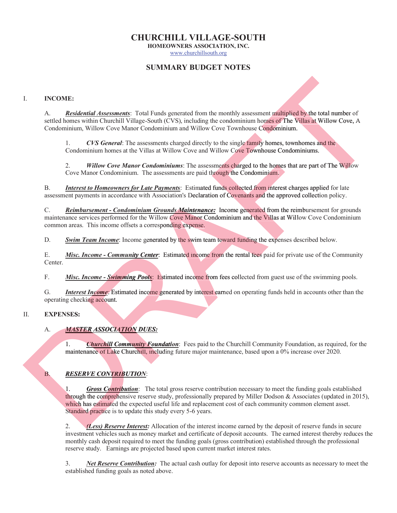# **CHURCHILL VILLAGE-SOUTH**

**HOMEOWNERS ASSOCIATION, INC.**

www.churchillsouth.org

# **SUMMARY BUDGET NOTES**

## I. **INCOME:**

A. *Residential Assessments*: Total Funds generated from the monthly assessment multiplied by the total number of settled homes within Churchill Village-South (CVS), including the condominium homes of The Villas at Willow Cove, A Condominium, Willow Cove Manor Condominium and Willow Cove Townhouse Condominium.

1. *CVS General*: The assessments charged directly to the single family homes, townhomes and the 1. CVS General: The assessments charged directly to the single family homes, townhomes a Condominium homes at the Villas at Willow Cove and Willow Cove Townhouse Condominiums.

2. *Willow Cove Manor Condominiums*: The assessments charged to the homes that are part of The Willow Cove Manor Condominium. The assessments are paid through the Condominium.

B. **Interest to Homeowners for Late Payments**: Estimated funds collected from interest charges applied for late assessment payments in accordance with Association's Declaration of Covenants and the approved collection policy.

C. *Reimbursement - Condominium Grounds Maintenance:* Income generated from the reimbursement for grounds maintenance services performed for the Willow Cove Manor Condominium and the Villas at Willow Cove Condominium common areas. This income offsets a corresponding expense. **Example 12** and Willow Cove and Willow Cove Townhomes allas at Willow Cove and Willow Cove Townhouse Condominiums.<br> **Condominiums:** The assessments charged to the homes that are part<br>
the assessments are paid through the *no Homeowners for Late Payments*: Estimated funds collected from<br> *nents* in accordance with Association's Declaration of Covenants and the<br> *noment - Condominium Grounds Maintenance:* Income generated fivices performed f

common areas. This income offsets a corresponding expense.<br>D. Swim Team Income: Income generated by the swim team toward funding the expenses described below.

E. *Misc. Income - Community Center*: Estimated income from the rental fees paid for private use of the Community Center. **EXECUTE:** Estimated income from<br> **COMEC-SWIMMING POOLS:** Estimated income from feature<br> **Income:** Estimated income generated by interest earn<br> **RASSOCIATION DUES:**<br> **Churchill Community Foundation**: Fees paid to the<br>
ance

F. Misc. Income - Swimming Pools: Estimated income from fees collected from guest use of the swimming pools.

G. *Interest Income*: Estimated income generated by interest earned on operating funds held in accounts other than the operating checking account.

## II. **EXPENSES: ES:**

## A. *MASTER ASSOCIATION DUES:*

1. *Churchill Community Foundation*: Fees paid to the Churchill Community Foundation, as required, for the maintenance of Lake Churchill, including future major maintenance, based upon a 0% increase over 2020.

## **B.** *RESERVE CONTRIBUTION:*

1. *Gross Contribution*: The total gross reserve contribution necessary to meet the funding goals established through the comprehensive reserve study, professionally prepared by Miller Dodson & Associates (updated in 2015), which has estimated the expected useful life and replacement cost of each community common element asset. Standard practice is to update this study every 5-6 years. 1.<br>
INCOME:<br>
A. Reddential descendents. Total Foods gones and from the monthly assessment manipulates but be total manive of<br>
According the control of the control of the control of the control of the simple family homes, *Association: History Lender Community Center:* Estimated income<br> *Association: Association: Estimated income generated by intercoperating checking account.*<br> *A. MASTER ASSOCIATION DUES:*<br> *A. ASSOCIATION DUES:*<br> *A.* II. **EXPENSES:**<br>
A. *MASTER ASSOCIATION*<br>
maintenance of Lake Church<br> **B. RESERVE CONTRIBUTIC**<br>
1. **Gross Contribution:**<br>
through the comprehensive r<br>
which has estimated the expo<br>
Standard practice is to updat<br>
2. *(L* 

2. *(Less) Reserve Interest:* Allocation of the interest income earned by the deposit of reserve funds in secure *(L*investment vehicles such as money market and certificate of deposit accounts. The earned interest thereby reduces the monthly cash deposit required to meet the funding goals (gross contribution) established through the professional reserve study. Earnings are projected based upon current market interest rates.

3. *Net Reserve Contribution:* The actual cash outlay for deposit into reserve accounts as necessary to meet the established funding goals as noted above.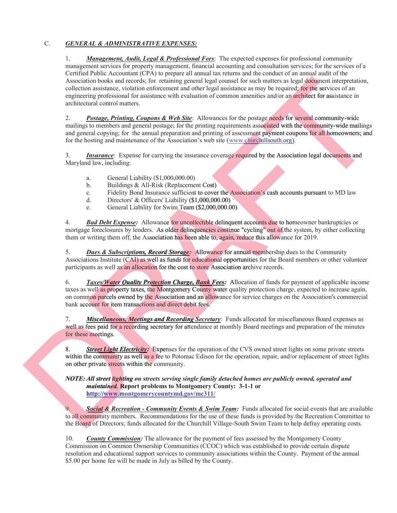## C. *GENERAL & ADMINISTRATIVE EXPENSES:*

1. *Management, Audit, Legal & Professional Fees*: The expected expenses for professional community management services for property management, financial accounting and consultation services; for the services of a Certified Public Accountant (CPA) to prepare all annual tax returns and the conduct of an annual audit of the Association books and records; for retaining general legal counsel for such matters as legal document interpretation, collection assistance, violation enforcement and other legal assistance as may be required; for the services of an engineering professional for assistance with evaluation of common amenities and/or an architect for assistance in architectural control matters. Association books and records. In relation gouves like and the scale and streated by the control of the services of an equilibratic books and relations to the service of an equilibratic potential in relation of control me

2. *Postage, Printing, Coupons & Web Site*: Allowances for the postage needs for several community-wide 2. **Postage, Printing, Coupons & Web Site**: Allowances for the postage needs for several community-wide mailings to members and general postage; for the printing requirements associated with the community-wide mailings and general copying; for the annual preparation and printing of assessment payment coupons for all homeowners; and for the hosting and maintenance of the Association's web site (www.churchillsouth.org). al counsel for such matters as legal document interpretation,<br>gal assistance as may be required; for the services of an<br>f common amenities and/or an **architect** for assistance in<br>ances for the postage needs for several com

3. **Insurance**: Expense for carrying the insurance coverage required by the Association legal documents and Maryland law, including:

- a. General Liability (\$1,000,000.00)
- b. Buildings & All-Risk (Replacement Cost)
- c. Fidelity Bond Insurance sufficient to cover the Association's cash accounts pursuant to MD law
- d. Directors' & Officers' Liability (\$1,000,000.00)
- d. Directors' & Officers' Liability (\$1,000,000.00)<br>
e. General Liability for Swim Team (\$2,000,000.00)

4. *Bad Debt Expense:* Allowance for uncollectible delinquent accounts due to homeowner bankruptcies or mortgage foreclosures by lenders. As older delinquencies continue "cycling" out of the system, by either collecting them or writing them off, the Association has been able to, again, reduce this allowance for 2019.

5. *Dues & Subscriptions, Record Storage:* Allowance for annual membership dues to the Community Associations Institute (CAI) as well as funds for educational opportunities for the Board members or other volunteer participants as well as an allocation for the cost to store Association archive records.

6. Taxes/Water Quality Protection Charge, Bank Fees: Allocation of funds for payment of applicable income taxes as well as property taxes, the Montgomery County water quality protection charge, expected to increase again, on common parcels owned by the Association and an allowance for service charges on the Association's commercial bank account for item transactions and direct debit fees. **b.** Buildings & All-Risk (Replacement Cost)<br> *d.* Fidelity Bond Insurance sufficient to cover the Association's d.<br> *piectors'* & Officers' Liability (\$1,000,000.00)<br> *Bad Debt Expense:* Allowance for uncollectible delinq *Record Storage:* Allo<br>
Associations Institute (CAI) as well as funds for educa<br>
participants as well as an allocation for the cost to store<br>
taxes as well as an allocation for the cost to store<br>
6. Taxes/*Mater Quality Pr* 

7. *Miscellaneous, Meetings and Recording Secretary*: Funds allocated for miscellaneous Board expenses as well as fees paid for a recording secretary for attendance at monthly Board meetings and preparation of the minutes for these meetings. 7. **Miscellaneous, Mee**<br>well as fees paid for a record<br>for these meetings.<br>8. **Street Light Electric**<br>within the community as we<br>on other private streets withi<br>NOTE: All street lighting or<br>maintained. Report<br>http://www.mon

8. **Street Light Electricity:** Expenses for the operation of the CVS owned street lights on some private streets within the community as well as a fee to Potomac Edison for the operation, repair, and/or replacement of street lights on other private streets within the community.

*NOTE: All street lighting on streets serving single family detached homes are publicly owned, operated and NOTE: on light maintained.* **Report problems to Montgomery County: 3-1-1 or http://www.montgomerycountymd.gov/mc311/**

9. *Social & Recreation - Community Events & Swim Team:* Funds allocated for social events that are available *&* to all community members. Recommendations for the use of these funds is provided by the Recreation Committee to the Board of Directors; funds allocated for the Churchill Village-South Swim Team to help defray operating costs.

10. *County Commission:* The allowance for the payment of fees assessed by the Montgomery County Commission on Common Ownership Communities (CCOC) which was established to provide certain dispute resolution and educational support services to community associations within the County. Payment of the annual \$5.00 per home fee will be made in July as billed by the County.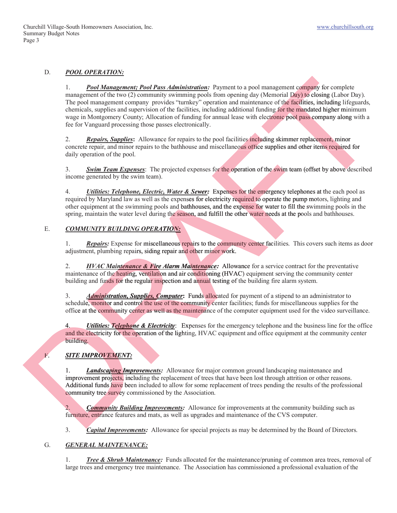#### D. *POOL OPERATION:*

1. *Pool Management; Pool Pass Administration:* Payment to a pool management company for complete management of the two (2) community swimming pools from opening day (Memorial Day) to closing (Labor Day). The pool management company provides "turnkey" operation and maintenance of the facilities, including lifeguards, chemicals, supplies and supervision of the facilities, including additional funding for the mandated higher minimum wage in Montgomery County; Allocation of funding for annual lease with electronic pool pass company along with a fee for Vanguard processing those passes electronically. For the *Continuo mention Pass Administration*: Psyrons to a past reangement sample in<br>
margin computer with two Contemning women for computer from periodic field (when the **Contemning Contemning Contemning Contemning Con** facili g for the mandated higher min

2. **Repairs, Supplies:** Allowance for repairs to the pool facilities including skimmer replacement, minor concrete repair, and minor repairs to the bathhouse and miscellaneous office supplies and other items required for daily operation of the pool.

3. **Swim Team Expenses**: The projected expenses for the operation of the swim team (offset by above described income generated by the swim team).

4. *Utilities: Telephone, Electric, Water & Sewer:* Expenses for the emergency telephones at the each pool as required by Maryland law as well as the expenses for electricity required to operate the pump motors, lighting and other equipment at the swimming pools and bathhouses, and the expense for water to fill the swimming pools in the spring, maintain the water level during the season, and fulfill the other water needs at the pools and bathhouses. **Electric, Water & Sewer:** Expenses for the emergency telephones at the real as the expenses for electricity required to operate the pump motors, ing pools and bathhouses, and the expense for water to fill the swimminal du **Littities: Telephone, Electric, Water & Sewer:** Expenses for the emery by Maryland law as well as the expenses for electricity required to op uipment at the swimming pools and bathhouses, and the expense for womintain the

#### E. *COMMUNITY BUILDING OPERATION:*

1. **Repairs:** Expense for miscellaneous repairs to the community center facilities. This covers such items as door adjustment, plumbing repairs, siding repair and other minor work.

2. *HVAC Maintenance & Fire Alarm Maintenance:* Allowance for a service contract for the preventative maintenance of the heating, ventilation and air conditioning (HVAC) equipment serving the community center building and funds for the regular inspection and annual testing of the building fire alarm system.

3. *Administration, Supplies, Computer*: Funds allocated for payment of a stipend to an administrator to schedule, monitor and control the use of the community center facilities; funds for miscellaneous supplies for the office at the community center as well as the maintenance of the computer equipment used for the video surveillance.

4. *Utilities: Telephone & Electricity*: Expenses for the emergency telephone and the business line for the office and the electricity for the operation of the lighting, HVAC equipment and office equipment at the community center building.

## **F.** SITE IMPROVEMENT:

1. *Landscaping Improvements:* Allowance for major common ground landscaping maintenance and improvement projects, including the replacement of trees that have been lost through attrition or other reasons. Additional funds have been included to allow for some replacement of trees pending the results of the professional community tree survey commissioned by the Association. *Telemanis*. Expense for insternation and adjustment, plumbing repairs, siding repair and other n<br>adjustment, plumbing repairs, siding repair and other n<br>maintenance of the heating, ventilation and air condition<br>building a *Internal and the electricity for the operational did-*<br> *Improvement ping Improvem*<br> *I. Landscaping Improvem*<br> *improvement projects, including Additional funds have been including<br>
2. <i>Community tree survey commiss*<br>

2. *Community Building Improvements:* Allowance for improvements at the community building such as *Commun* furniture, entrance features and mats, as well as upgrades and maintenance of the CVS computer.

3. *Capital Improvements:* Allowance for special projects as may be determined by the Board of Directors. *C*

## G. *GENERAL MAINTENANCE:*

1. *Tree & Shrub Maintenance:* Funds allocated for the maintenance/pruning of common area trees, removal of large trees and emergency tree maintenance. The Association has commissioned a professional evaluation of the